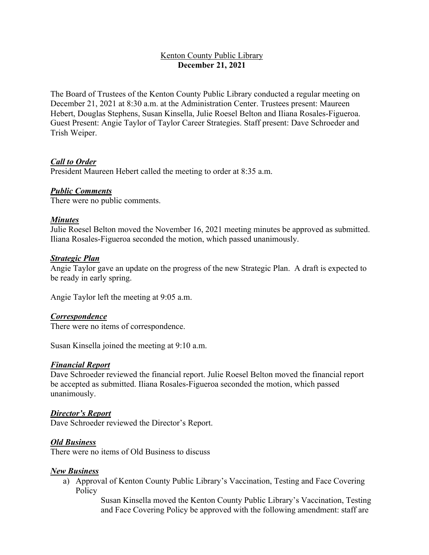# Kenton County Public Library **December 21, 2021**

The Board of Trustees of the Kenton County Public Library conducted a regular meeting on December 21, 2021 at 8:30 a.m. at the Administration Center. Trustees present: Maureen Hebert, Douglas Stephens, Susan Kinsella, Julie Roesel Belton and Iliana Rosales-Figueroa. Guest Present: Angie Taylor of Taylor Career Strategies. Staff present: Dave Schroeder and Trish Weiper.

## *Call to Order*

President Maureen Hebert called the meeting to order at 8:35 a.m.

#### *Public Comments*

There were no public comments.

## *Minutes*

Julie Roesel Belton moved the November 16, 2021 meeting minutes be approved as submitted. Iliana Rosales-Figueroa seconded the motion, which passed unanimously.

#### *Strategic Plan*

Angie Taylor gave an update on the progress of the new Strategic Plan. A draft is expected to be ready in early spring.

Angie Taylor left the meeting at 9:05 a.m.

#### *Correspondence*

There were no items of correspondence.

Susan Kinsella joined the meeting at 9:10 a.m.

#### *Financial Report*

Dave Schroeder reviewed the financial report. Julie Roesel Belton moved the financial report be accepted as submitted. Iliana Rosales-Figueroa seconded the motion, which passed unanimously.

#### *Director's Report*

Dave Schroeder reviewed the Director's Report.

#### *Old Business*

There were no items of Old Business to discuss

#### *New Business*

a) Approval of Kenton County Public Library's Vaccination, Testing and Face Covering Policy

> Susan Kinsella moved the Kenton County Public Library's Vaccination, Testing and Face Covering Policy be approved with the following amendment: staff are